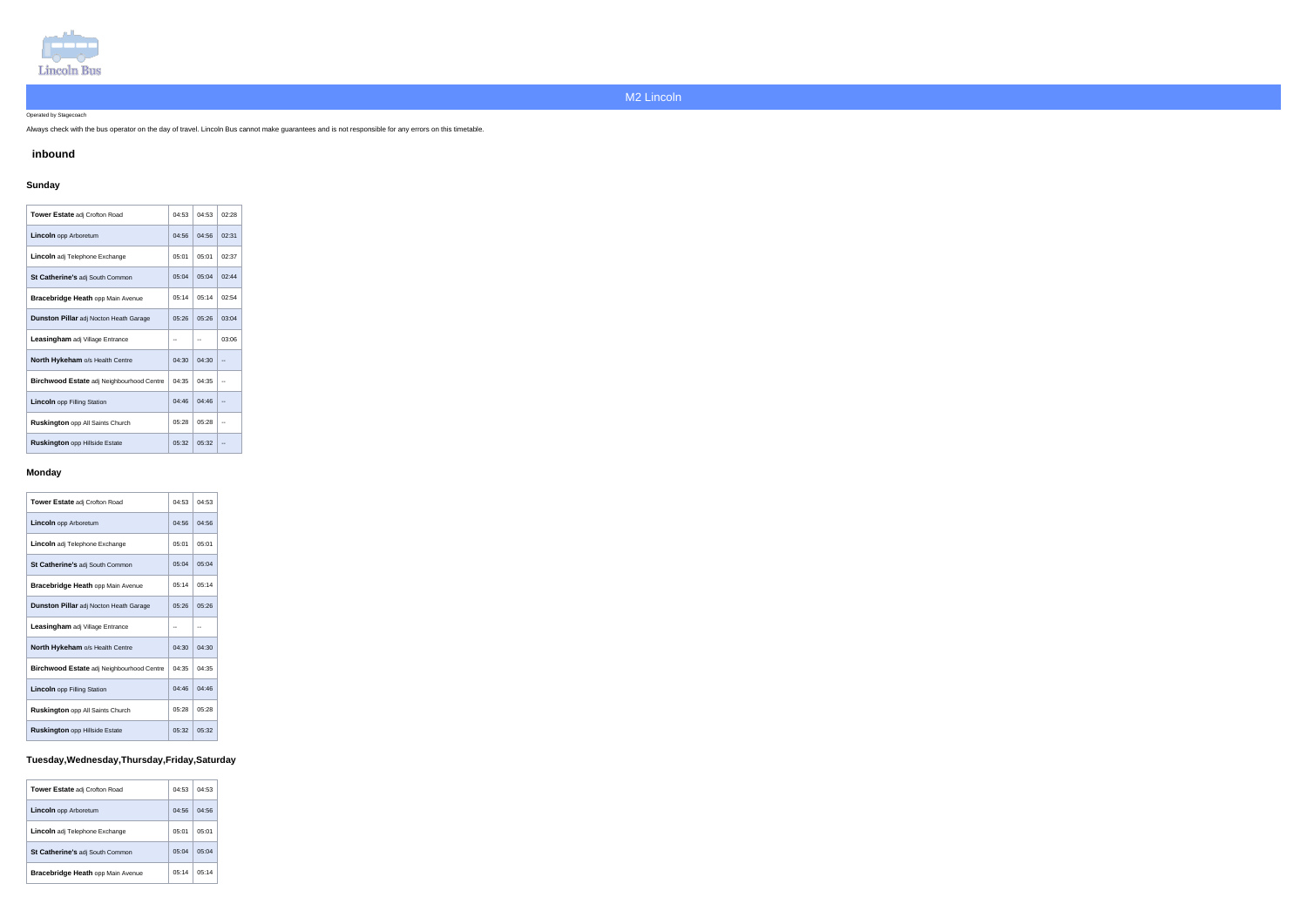

Operated by Stagecoach

Always check with the bus operator on the day of travel. Lincoln Bus cannot make guarantees and is not responsible for any errors on this timetable.

### **inbound**

### **Sunday**

| <b>Tower Estate adj Crofton Road</b>             | 04:53 | 04:53 | 02:28 |
|--------------------------------------------------|-------|-------|-------|
| <b>Lincoln</b> opp Arboretum                     | 04:56 | 04:56 | 02:31 |
| <b>Lincoln</b> adj Telephone Exchange            | 05:01 | 05:01 | 02:37 |
| <b>St Catherine's adj South Common</b>           | 05:04 | 05:04 | 02:44 |
| <b>Bracebridge Heath opp Main Avenue</b>         | 05:14 | 05:14 | 02:54 |
| <b>Dunston Pillar</b> adj Nocton Heath Garage    | 05:26 | 05:26 | 03:04 |
| <b>Leasingham</b> adj Village Entrance           |       |       | 03:06 |
| <b>North Hykeham o/s Health Centre</b>           | 04:30 | 04:30 |       |
| <b>Birchwood Estate adj Neighbourhood Centre</b> | 04:35 | 04:35 |       |
| <b>Lincoln</b> opp Filling Station               | 04:46 | 04:46 |       |
| <b>Ruskington</b> opp All Saints Church          | 05:28 | 05:28 |       |
| <b>Ruskington opp Hillside Estate</b>            | 05:32 | 05:32 |       |

#### **Monday**

| <b>Tower Estate adj Crofton Road</b>             | 04:53 | 04:53 |
|--------------------------------------------------|-------|-------|
| <b>Lincoln</b> opp Arboretum                     | 04:56 | 04:56 |
| Lincoln adj Telephone Exchange                   | 05:01 | 05:01 |
| St Catherine's adj South Common                  | 05:04 | 05:04 |
| <b>Bracebridge Heath opp Main Avenue</b>         | 05:14 | 05:14 |
| Dunston Pillar adj Nocton Heath Garage           | 05:26 | 05:26 |
| Leasingham adj Village Entrance                  |       |       |
| <b>North Hykeham o/s Health Centre</b>           | 04:30 | 04:30 |
| <b>Birchwood Estate adj Neighbourhood Centre</b> | 04:35 | 04:35 |
| <b>Lincoln</b> opp Filling Station               | 04:46 | 04:46 |
| <b>Ruskington</b> opp All Saints Church          | 05:28 | 05:28 |
| <b>Ruskington opp Hillside Estate</b>            | 05:32 | 05:32 |

# **Tuesday,Wednesday,Thursday,Friday,Saturday**

| <b>Tower Estate adj Crofton Road</b>  | 04:53 | 04:53 |
|---------------------------------------|-------|-------|
| <b>Lincoln</b> opp Arboretum          | 04.56 | 04:56 |
| <b>Lincoln</b> adj Telephone Exchange | 05.01 | 05:01 |
| St Catherine's adj South Common       | 05:04 | 05.04 |
| Bracebridge Heath opp Main Avenue     | 05:14 | 05:14 |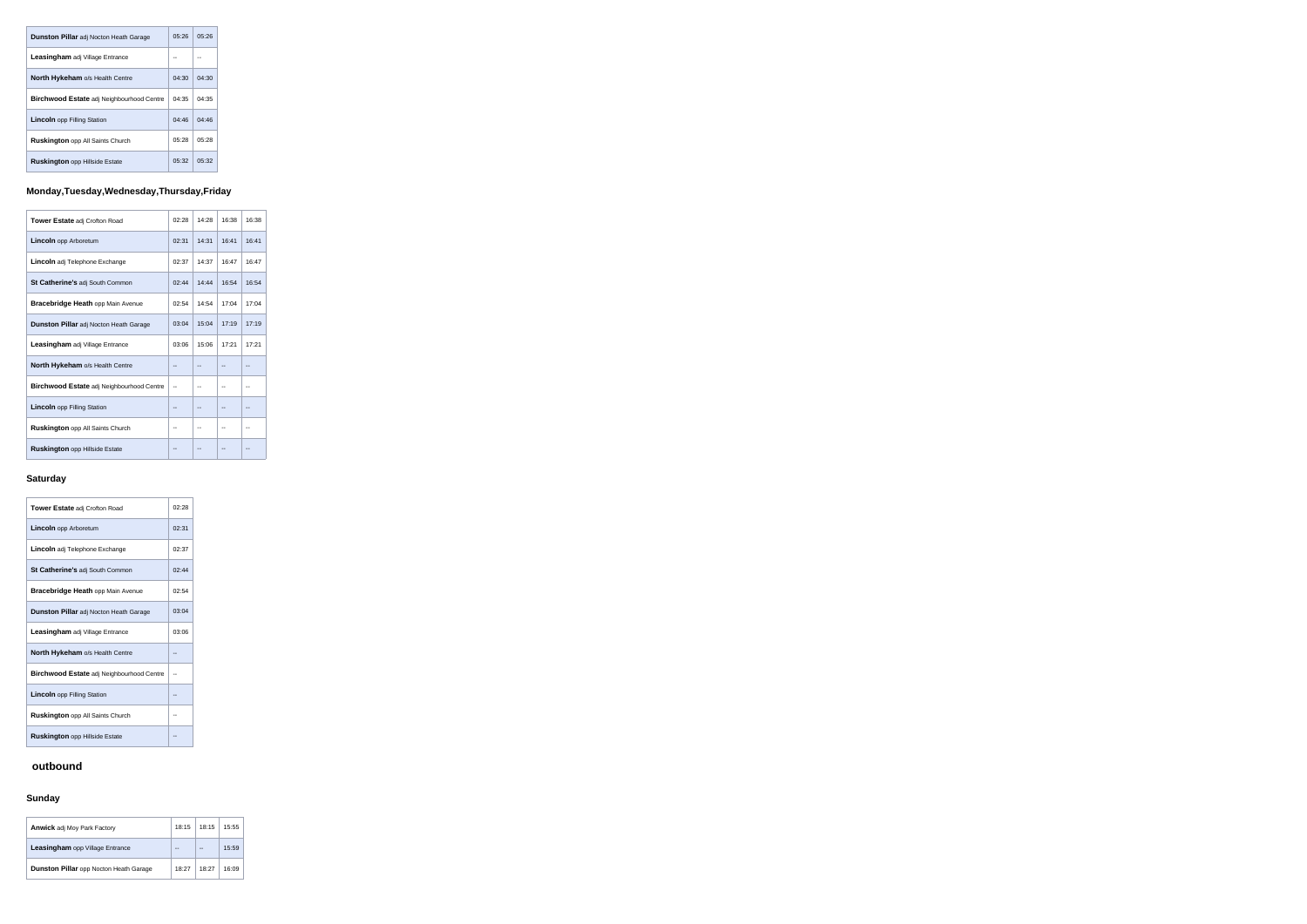| <b>Dunston Pillar</b> adj Nocton Heath Garage    | 05:26 | 05:26 |
|--------------------------------------------------|-------|-------|
| Leasingham adj Village Entrance                  |       |       |
| <b>North Hykeham o/s Health Centre</b>           | 04:30 | 04:30 |
| <b>Birchwood Estate</b> adj Neighbourhood Centre | 04:35 | 04:35 |
| <b>Lincoln</b> opp Filling Station               | 04.46 | 04:46 |
| <b>Ruskington</b> opp All Saints Church          | 05:28 | 05:28 |
| <b>Ruskington opp Hillside Estate</b>            | 05.32 | 05:32 |

# **Monday,Tuesday,Wednesday,Thursday,Friday**

| <b>Tower Estate adj Crofton Road</b>             | 02:28 | 14:28 | 16:38 | 16:38 |
|--------------------------------------------------|-------|-------|-------|-------|
| <b>Lincoln</b> opp Arboretum                     | 02:31 | 14:31 | 16:41 | 16:41 |
| <b>Lincoln</b> adj Telephone Exchange            | 02:37 | 14:37 | 16:47 | 16:47 |
| St Catherine's adj South Common                  | 02:44 | 14:44 | 16:54 | 16:54 |
| <b>Bracebridge Heath opp Main Avenue</b>         | 02:54 | 14:54 | 17:04 | 17:04 |
| <b>Dunston Pillar adj Nocton Heath Garage</b>    | 03:04 | 15:04 | 17:19 | 17:19 |
| <b>Leasingham</b> adj Village Entrance           | 03:06 | 15:06 | 17:21 | 17:21 |
| North Hykeham o/s Health Centre                  |       |       |       |       |
| <b>Birchwood Estate adj Neighbourhood Centre</b> |       | --    |       |       |
| <b>Lincoln</b> opp Filling Station               |       | --    |       |       |
| <b>Ruskington</b> opp All Saints Church          | --    | --    |       |       |
| <b>Ruskington opp Hillside Estate</b>            |       |       |       |       |

### **Saturday**

**Contract** 

| <b>Tower Estate adj Crofton Road</b>          | 02:28 |
|-----------------------------------------------|-------|
| <b>Lincoln</b> opp Arboretum                  | 02:31 |
| <b>Lincoln</b> adj Telephone Exchange         | 02:37 |
| St Catherine's adj South Common               | 02.44 |
| <b>Bracebridge Heath opp Main Avenue</b>      | 02:54 |
| <b>Dunston Pillar</b> adj Nocton Heath Garage | 03:04 |
| <b>Leasingham</b> adj Village Entrance        | 03:06 |
| North Hykeham o/s Health Centre               |       |
| Birchwood Estate adj Neighbourhood Centre     |       |
| <b>Lincoln</b> opp Filling Station            |       |
| Ruskington opp All Saints Church              |       |
| <b>Ruskington</b> opp Hillside Estate         |       |

## **outbound**

## **Sunday**

| <b>Anwick adj Moy Park Factory</b>            | 18:15 | 18:15 | 15:55 |
|-----------------------------------------------|-------|-------|-------|
| Leasingham opp Village Entrance               |       |       | 15.59 |
| <b>Dunston Pillar</b> opp Nocton Heath Garage | 18:27 | 18:27 | 16:09 |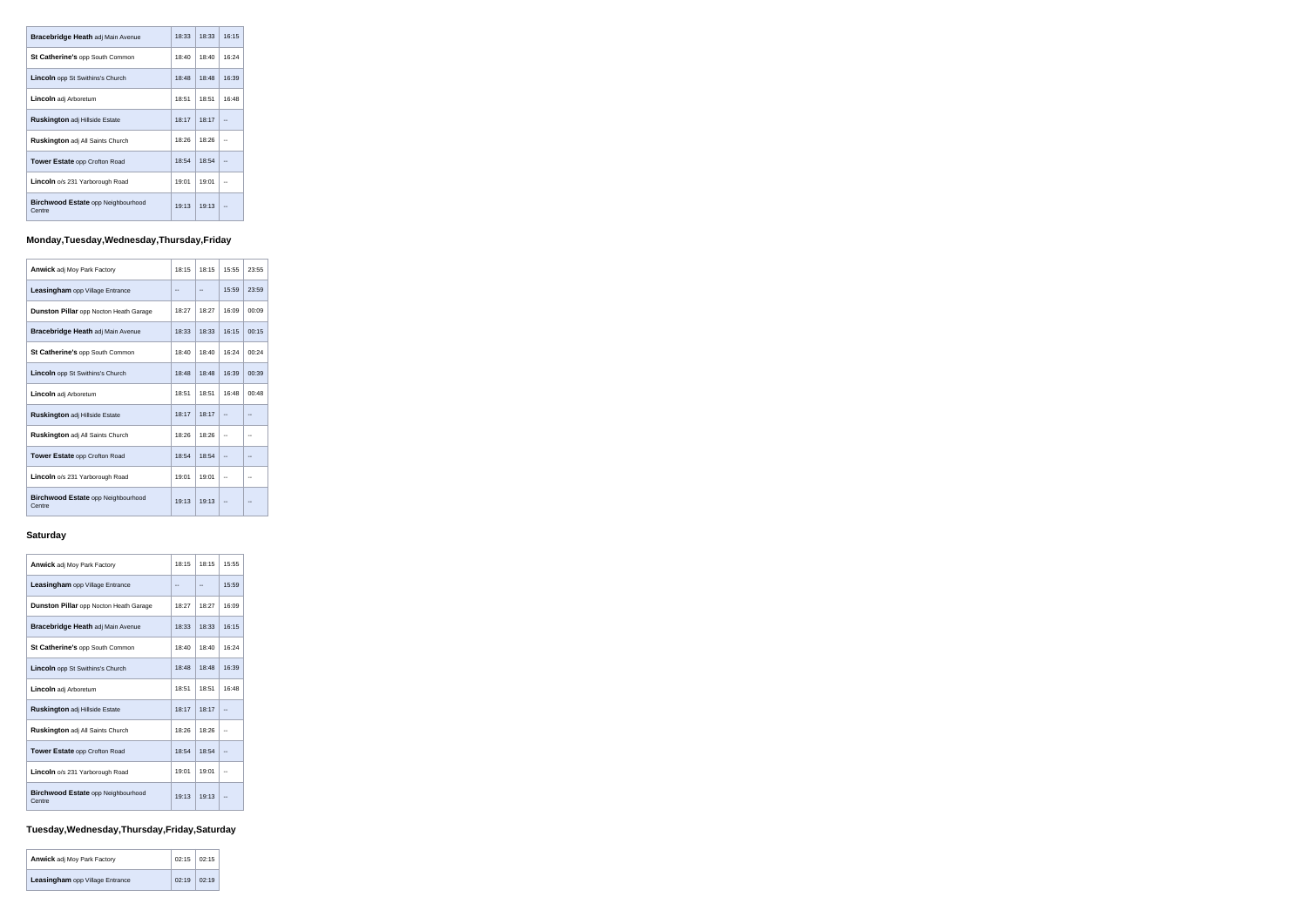| <b>Bracebridge Heath adj Main Avenue</b>            | 18.33 | 18:33 | 16:15 |
|-----------------------------------------------------|-------|-------|-------|
| <b>St Catherine's opp South Common</b>              | 18:40 | 18:40 | 16:24 |
| <b>Lincoln</b> opp St Swithins's Church             | 18:48 | 18:48 | 16:39 |
| <b>Lincoln</b> adj Arboretum                        | 18:51 | 18:51 | 16:48 |
| <b>Ruskington adj Hillside Estate</b>               | 18:17 | 18:17 |       |
| <b>Ruskington</b> adj All Saints Church             | 18:26 | 18:26 |       |
| <b>Tower Estate opp Crofton Road</b>                | 18:54 | 18:54 |       |
| <b>Lincoln</b> o/s 231 Yarborough Road              | 19:01 | 19:01 |       |
| <b>Birchwood Estate opp Neighbourhood</b><br>Centre | 19:13 | 19:13 |       |

# **Monday,Tuesday,Wednesday,Thursday,Friday**

| <b>Anwick adj Moy Park Factory</b>                  | 18:15 | 18:15 | 15:55 | 23:55 |
|-----------------------------------------------------|-------|-------|-------|-------|
| Leasingham opp Village Entrance                     |       |       | 15:59 | 23:59 |
| <b>Dunston Pillar</b> opp Nocton Heath Garage       | 18:27 | 18:27 | 16:09 | 00:09 |
| <b>Bracebridge Heath adj Main Avenue</b>            | 18:33 | 18:33 | 16:15 | 00:15 |
| St Catherine's opp South Common                     | 18:40 | 18:40 | 16:24 | 00:24 |
| Lincoln opp St Swithins's Church                    | 18:48 | 18:48 | 16:39 | 00:39 |
| Lincoln adj Arboretum                               | 18:51 | 18:51 | 16:48 | 00:48 |
| <b>Ruskington adj Hillside Estate</b>               | 18:17 | 18:17 |       |       |
| <b>Ruskington adj All Saints Church</b>             | 18:26 | 18:26 |       |       |
| <b>Tower Estate opp Crofton Road</b>                | 18:54 | 18:54 |       |       |
| <b>Lincoln</b> o/s 231 Yarborough Road              | 19:01 | 19:01 |       |       |
| <b>Birchwood Estate opp Neighbourhood</b><br>Centre | 19:13 | 19:13 |       |       |

## **Saturday**

| <b>Anwick adj Moy Park Factory</b>                  | 18:15 | 18:15 | 15:55 |
|-----------------------------------------------------|-------|-------|-------|
| <b>Leasingham</b> opp Village Entrance              |       |       | 15.59 |
| <b>Dunston Pillar</b> opp Nocton Heath Garage       | 18:27 | 18:27 | 16:09 |
| <b>Bracebridge Heath adj Main Avenue</b>            | 18:33 | 18:33 | 16:15 |
| <b>St Catherine's opp South Common</b>              | 18:40 | 18:40 | 16:24 |
| <b>Lincoln</b> opp St Swithins's Church             | 18:48 | 18:48 | 16:39 |
| Lincoln adj Arboretum                               | 18:51 | 18:51 | 16:48 |
| <b>Ruskington adj Hillside Estate</b>               | 18:17 | 18:17 |       |
| <b>Ruskington adj All Saints Church</b>             | 18:26 | 18:26 |       |
| <b>Tower Estate opp Crofton Road</b>                | 18:54 | 18:54 |       |
| Lincoln o/s 231 Yarborough Road                     | 19:01 | 19:01 |       |
| <b>Birchwood Estate opp Neighbourhood</b><br>Centre | 19:13 | 19:13 |       |

# **Tuesday,Wednesday,Thursday,Friday,Saturday**

| <b>Anwick adj Moy Park Factory</b>     | $02:15$ 02:15 |       |
|----------------------------------------|---------------|-------|
| <b>Leasingham</b> opp Village Entrance | 02:19         | 02:19 |